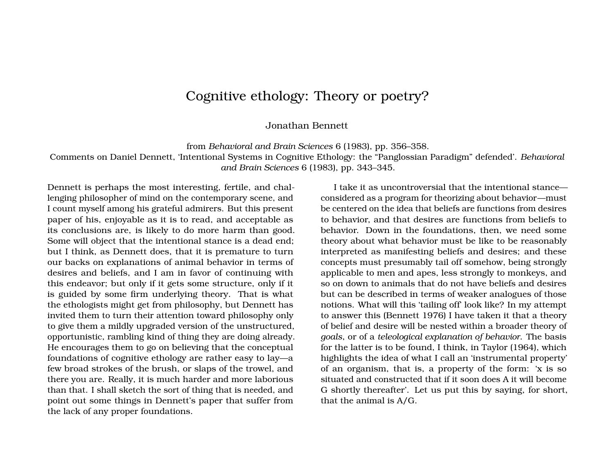## Cognitive ethology: Theory or poetry?

## Jonathan Bennett

from *Behavioral and Brain Sciences* 6 (1983), pp. 356–358.

Comments on Daniel Dennett, 'Intentional Systems in Cognitive Ethology: the "Panglossian Paradigm" defended'. *Behavioral and Brain Sciences* 6 (1983), pp. 343–345.

Dennett is perhaps the most interesting, fertile, and challenging philosopher of mind on the contemporary scene, and I count myself among his grateful admirers. But this present paper of his, enjoyable as it is to read, and acceptable as its conclusions are, is likely to do more harm than good. Some will object that the intentional stance is a dead end; but I think, as Dennett does, that it is premature to turn our backs on explanations of animal behavior in terms of desires and beliefs, and I am in favor of continuing with this endeavor; but only if it gets some structure, only if it is guided by some firm underlying theory. That is what the ethologists might get from philosophy, but Dennett has invited them to turn their attention toward philosophy only to give them a mildly upgraded version of the unstructured, opportunistic, rambling kind of thing they are doing already. He encourages them to go on believing that the conceptual foundations of cognitive ethology are rather easy to lay—a few broad strokes of the brush, or slaps of the trowel, and there you are. Really, it is much harder and more laborious than that. I shall sketch the sort of thing that is needed, and point out some things in Dennett's paper that suffer from the lack of any proper foundations.

I take it as uncontroversial that the intentional stance considered as a program for theorizing about behavior—must be centered on the idea that beliefs are functions from desires to behavior, and that desires are functions from beliefs to behavior. Down in the foundations, then, we need some theory about what behavior must be like to be reasonably interpreted as manifesting beliefs and desires; and these concepts must presumably tail off somehow, being strongly applicable to men and apes, less strongly to monkeys, and so on down to animals that do not have beliefs and desires but can be described in terms of weaker analogues of those notions. What will this 'tailing off' look like? In my attempt to answer this (Bennett 1976) I have taken it that a theory of belief and desire will be nested within a broader theory of *goals*, or of a *teleological explanation of behavior*. The basis for the latter is to be found, I think, in Taylor (1964), which highlights the idea of what I call an 'instrumental property' of an organism, that is, a property of the form: 'x is so situated and constructed that if it soon does A it will become G shortly thereafter'. Let us put this by saying, for short, that the animal is A/G.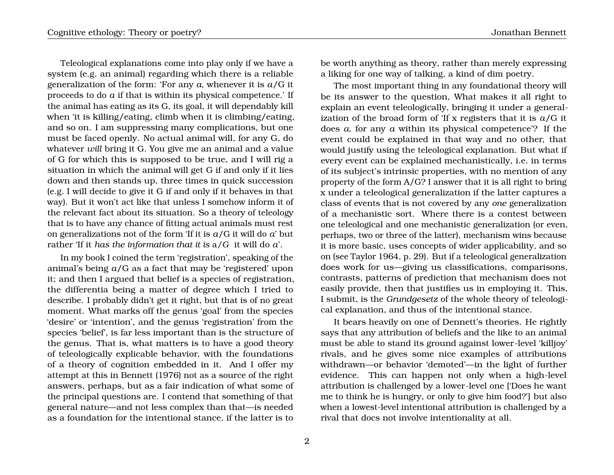Teleological explanations come into play only if we have a system (e.g. an animal) regarding which there is a reliable generalization of the form: 'For any *a*, whenever it is *a*/G it proceeds to do *a* if that is within its physical competence.' If the animal has eating as its G, its goal, it will dependably kill when 'it is killing/eating, climb when it is climbing/eating, and so on. I am suppressing many complications, but one must be faced openly. No actual animal will, for any G, do whatever *will* bring it G. You give me an animal and a value of G for which this is supposed to be true, and I will rig a situation in which the animal will get G if and only if it lies down and then stands up, three times in quick succession (e.g. I will decide to give it G if and only if it behaves in that way). But it won't act like that unless I somehow inform it of the relevant fact about its situation. So a theory of teleology that is to have any chance of fitting actual animals must rest on generalizations not of the form 'If it is *a*/G it will do *a*' but rather 'If it *has the information that it is* a*/G* it will do *a*'.

In my book I coined the term 'registration', speaking of the animal's being *a*/G as a fact that may be 'registered' upon it; and then I argued that belief is a species of registration, the differentia being a matter of degree which I tried to describe. I probably didn't get it right, but that is of no great moment. What marks off the genus 'goal' from the species 'desire' or 'intention', and the genus 'registration' from the species 'belief', is far less important than is the structure of the genus. That is, what matters is to have a good theory of teleologically explicable behavior, with the foundations of a theory of cognition embedded in it. And I offer my attempt at this in Bennett (1976) not as a source of the right answers, perhaps, but as a fair indication of what some of the principal questions are. I contend that something of that general nature—and not less complex than that—is needed as a foundation for the intentional stance, if the latter is to

be worth anything as theory, rather than merely expressing a liking for one way of talking, a kind of dim poetry.

The most important thing in any foundational theory will be its answer to the question, What makes it all right to explain an event teleologically, bringing it under a generalization of the broad form of 'If x registers that it is *a*/G it does *a*, for any *a* within its physical competence'? If the event could be explained in that way and no other, that would justify using the teleological explanation. But what if every event can be explained mechanistically, i.e. in terms of its subject's intrinsic properties, with no mention of any property of the form A/G? I answer that it is all right to bring x under a teleological generalization if the latter captures a class of events that is not covered by any *one* generalization of a mechanistic sort. Where there is a contest between one teleological and one mechanistic generalization (or even, perhaps, two or three of the latter), mechanism wins because it is more basic, uses concepts of wider applicability, and so on (see Taylor 1964, p. 29). But if a teleological generalization does work for us—giving us classifications, comparisons, contrasts, patterns of prediction that mechanism does not easily provide, then that justifies us in employing it. This, I submit, is the *Grundgesetz* of the whole theory of teleological explanation, and thus of the intentional stance.

It bears heavily on one of Dennett's theories. He rightly says that any attribution of beliefs and the like to an animal must be able to stand its ground against lower-level 'killjoy' rivals, and he gives some nice examples of attributions withdrawn—or behavior 'demoted'—in the light of further evidence. This can happen not only when a high-level attribution is challenged by a lower-level one ['Does he want me to think he is hungry, or only to give him food?'] but also when a lowest-level intentional attribution is challenged by a rival that docs not involve intentionality at all.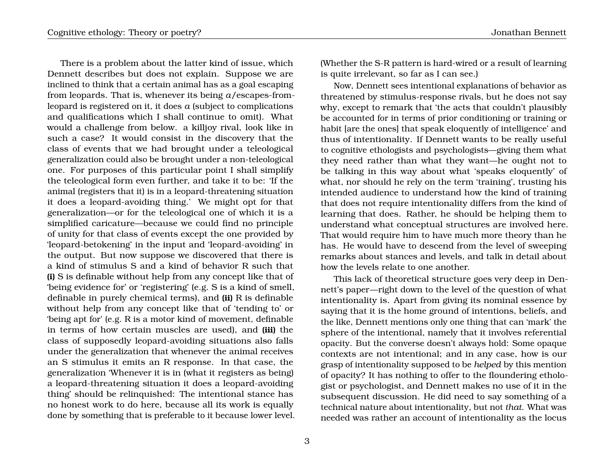There is a problem about the latter kind of issue, which Dennett describes but does not explain. Suppose we are inclined to think that a certain animal has as a goal escaping from leopards. That is, whenever its being *a*/escapes-fromleopard is registered on it, it does *a* (subject to complications and qualifications which I shall continue to omit). What would a challenge from below. a killjoy rival, look like in such a case? It would consist in the discovery that the class of events that we had brought under a teleological generalization could also be brought under a non-teleological one. For purposes of this particular point I shall simplify the teleological form even further, and take it to be: 'If the animal (registers that it) is in a leopard-threatening situation it does a leopard-avoiding thing.' We might opt for that generalization—or for the teleological one of which it is a simplified caricature—because we could find no principle of unity for that class of events except the one provided by 'leopard-betokening' in the input and 'leopard-avoiding' in the output. But now suppose we discovered that there is a kind of stimulus S and a kind of behavior R such that **(i)** S is definable without help from any concept like that of 'being evidence for' or 'registering' (e.g. S is a kind of smell, definable in purely chemical terms), and **(ii)** R is definable without help from any concept like that of 'tending to' or 'being apt for' (e.g. R is a motor kind of movement, definable in terms of how certain muscles are used), and **(iii)** the class of supposedly leopard-avoiding situations also falls under the generalization that whenever the animal receives an S stimulus it emits an R response. In that case, the generalization 'Whenever it is in (what it registers as being) a leopard-threatening situation it does a leopard-avoiding thing' should be relinquished: The intentional stance has no honest work to do here, because all its work is equally done by something that is preferable to it because lower level.

(Whether the S-R pattern is hard-wired or a result of learning is quite irrelevant, so far as I can see.)

Now, Dennett sees intentional explanations of behavior as threatened by stimulus-response rivals, but he does not say why, except to remark that 'the acts that couldn't plausibly be accounted for in terms of prior conditioning or training or habit [are the ones] that speak eloquently of intelligence' and thus of intentionality. If Dennett wants to be really useful to cognitive ethologists and psychologists—giving them what they need rather than what they want—he ought not to be talking in this way about what 'speaks eloquently' of what, nor should he rely on the term 'training', trusting his intended audience to understand how the kind of training that does not require intentionality differs from the kind of learning that does. Rather, he should be helping them to understand what conceptual structures are involved here. That would require him to have much more theory than he has. He would have to descend from the level of sweeping remarks about stances and levels, and talk in detail about how the levels relate to one another.

This lack of theoretical structure goes very deep in Dennett's paper—right down to the level of the question of what intentionality is. Apart from giving its nominal essence by saying that it is the home ground of intentions, beliefs, and the like, Dennett mentions only one thing that can 'mark' the sphere of the intentional, namely that it involves referential opacity. But the converse doesn't always hold: Some opaque contexts are not intentional; and in any case, how is our grasp of intentionality supposed to be *helped* by this mention of opacity? It has nothing to offer to the floundering ethologist or psychologist, and Dennett makes no use of it in the subsequent discussion. He did need to say something of a technical nature about intentionality, but not *that*. What was needed was rather an account of intentionality as the locus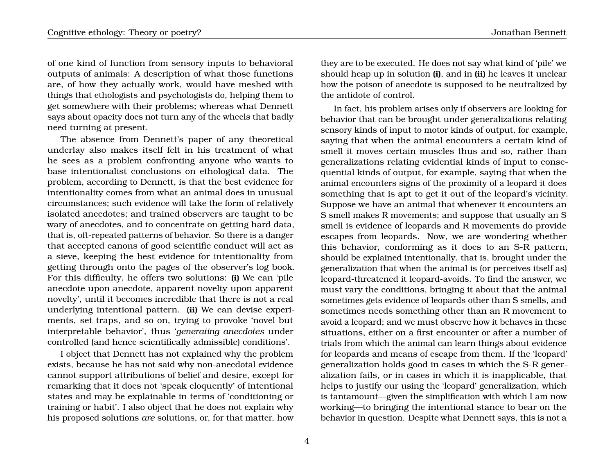of one kind of function from sensory inputs to behavioral outputs of animals: A description of what those functions are, of how they actually work, would have meshed with things that ethologists and psychologists do, helping them to get somewhere with their problems; whereas what Dennett says about opacity does not turn any of the wheels that badly need turning at present.

The absence from Dennett's paper of any theoretical underlay also makes itself felt in his treatment of what he sees as a problem confronting anyone who wants to base intentionalist conclusions on ethological data. The problem, according to Dennett, is that the best evidence for intentionality comes from what an animal does in unusual circumstances; such evidence will take the form of relatively isolated anecdotes; and trained observers are taught to be wary of anecdotes, and to concentrate on getting hard data, that is, oft-repeated patterns of behavior. So there is a danger that accepted canons of good scientific conduct will act as a sieve, keeping the best evidence for intentionality from getting through onto the pages of the observer's log book. For this difficulty, he offers two solutions: **(i)** We can 'pile anecdote upon anecdote, apparent novelty upon apparent novelty', until it becomes incredible that there is not a real underlying intentional pattern. **(ii)** We can devise experiments, set traps, and so on, trying to provoke 'novel but interpretable behavior', thus '*generating anecdotes* under controlled (and hence scientifically admissible) conditions'.

I object that Dennett has not explained why the problem exists, because he has not said why non-anecdotal evidence cannot support attributions of belief and desire, except for remarking that it does not 'speak eloquently' of intentional states and may be explainable in terms of 'conditioning or training or habit'. I also object that he does not explain why his proposed solutions *are* solutions, or, for that matter, how

they are to be executed. He does not say what kind of 'pile' we should heap up in solution **(i)**, and in **(ii)** he leaves it unclear how the poison of anecdote is supposed to be neutralized by the antidote of control.

In fact, his problem arises only if observers are looking for behavior that can be brought under generalizations relating sensory kinds of input to motor kinds of output, for example, saying that when the animal encounters a certain kind of smell it moves certain muscles thus and so, rather than generalizations relating evidential kinds of input to consequential kinds of output, for example, saying that when the animal encounters signs of the proximity of a leopard it does something that is apt to get it out of the leopard's vicinity. Suppose we have an animal that whenever it encounters an S smell makes R movements; and suppose that usually an S smell is evidence of leopards and R movements do provide escapes from leopards. Now, we are wondering whether this behavior, conforming as it does to an S-R pattern, should be explained intentionally, that is, brought under the generalization that when the animal is (or perceives itself as) leopard-threatened it leopard-avoids. To find the answer, we must vary the conditions, bringing it about that the animal sometimes gets evidence of leopards other than S smells, and sometimes needs something other than an R movement to avoid a leopard; and we must observe how it behaves in these situations, either on a first encounter or after a number of trials from which the animal can learn things about evidence for leopards and means of escape from them. If the 'leopard' generalization holds good in cases in which the S-R generalization fails, or in cases in which it is inapplicable, that helps to justify our using the 'leopard' generalization, which is tantamount—given the simplification with which I am now working—to bringing the intentional stance to bear on the behavior in question. Despite what Dennett says, this is not a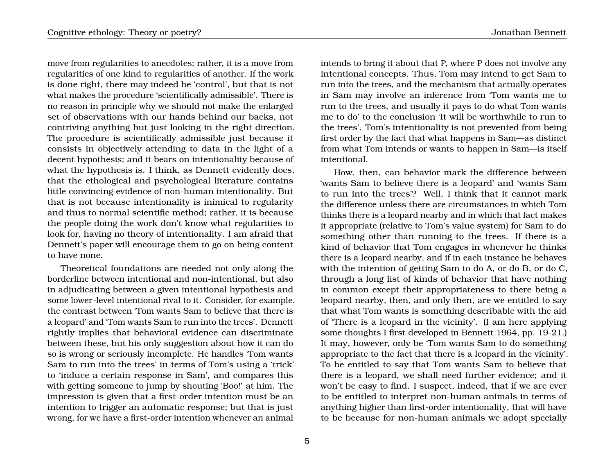move from regularities to anecdotes; rather, it is a move from regularities of one kind to regularities of another. If the work is done right, there may indeed be 'control', but that is not what makes the procedure 'scientifically admissible'. There is no reason in principle why we should not make the enlarged set of observations with our hands behind our backs, not contriving anything but just looking in the right direction. The procedure is scientifically admissible just because it consists in objectively attending to data in the light of a decent hypothesis; and it bears on intentionality because of what the hypothesis is. I think, as Dennett evidently does, that the ethological and psychological literature contains little convincing evidence of non-human intentionality. But that is not because intentionality is inimical to regularity and thus to normal scientific method; rather, it is because the people doing the work don't know what regularities to look for, having no theory of intentionality. I am afraid that Dennett's paper will encourage them to go on being content to have none.

Theoretical foundations are needed not only along the borderline between intentional and non-intentional, but also in adjudicating between a given intentional hypothesis and some lower-level intentional rival to it. Consider, for example. the contrast between 'Tom wants Sam to believe that there is a leopard' and 'Tom wants Sam to run into the trees'. Dennett rightly implies that behavioral evidence can discriminate between these, but his only suggestion about how it can do so is wrong or seriously incomplete. He handles 'Tom wants Sam to run into the trees' in terms of Tom's using a 'trick' to 'induce a certain response in Sam', and compares this with getting someone to jump by shouting 'Boo!' at him. The impression is given that a first-order intention must be an intention to trigger an automatic response; but that is just wrong, for we have a first-order intention whenever an animal

intends to bring it about that P, where P does not involve any intentional concepts. Thus, Tom may intend to get Sam to run into the trees, and the mechanism that actually operates in Sam may involve an inference from 'Tom wants me to run to the trees, and usually it pays to do what Tom wants me to do' to the conclusion 'It will be worthwhile to run to the trees'. Tom's intentionality is not prevented from being first order by the fact that what happens in Sam—as distinct from what Tom intends or wants to happen in Sam—is itself intentional.

How, then, can behavior mark the difference between 'wants Sam to believe there is a leopard' and 'wants Sam to run into the trees'? Well, I think that it cannot mark the difference unless there are circumstances in which Tom thinks there is a leopard nearby and in which that fact makes it appropriate (relative to Tom's value system) for Sam to do something other than running to the trees. If there is a kind of behavior that Tom engages in whenever he thinks there is a leopard nearby, and if in each instance he behaves with the intention of getting Sam to do A, or do B, or do C, through a long list of kinds of behavior that have nothing in common except their appropriateness to there being a leopard nearby, then, and only then, are we entitled to say that what Tom wants is something describable with the aid of 'There is a leopard in the vicinity'. (I am here applying some thoughts I first developed in Bennett 1964, pp. 19-21.) It may, however, only be 'Tom wants Sam to do something appropriate to the fact that there is a leopard in the vicinity'. To be entitled to say that Tom wants Sam to believe that there is a leopard, we shall need further evidence; and it won't be easy to find. I suspect, indeed, that if we are ever to be entitled to interpret non-human animals in terms of anything higher than first-order intentionality, that will have to be because for non-human animals we adopt specially